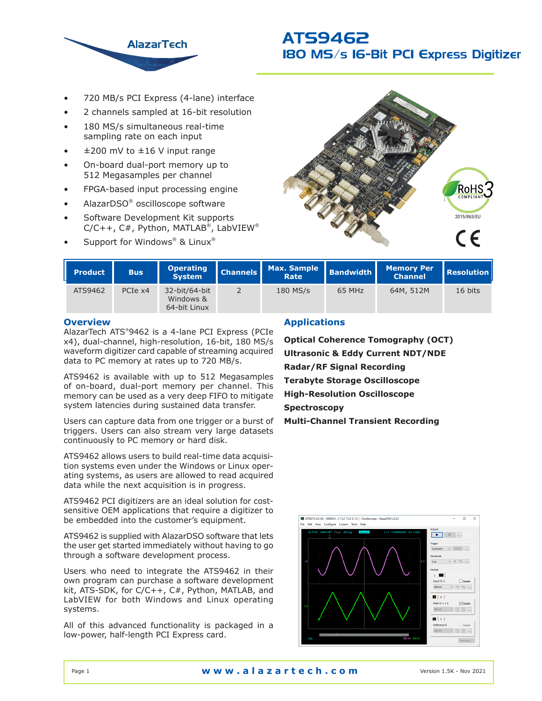

- 720 MB/s PCI Express (4-lane) interface
- 2 channels sampled at 16-bit resolution
- 180 MS/s simultaneous real-time sampling rate on each input
- $±200$  mV to  $±16$  V input range
- On-board dual-port memory up to 512 Megasamples per channel
- FPGA-based input processing engine
- AlazarDSO® oscilloscope software
- Software Development Kit supports  $C/C++$ ,  $C#$ , Python, MATLAB<sup>®</sup>, LabVIEW<sup>®</sup>
- Support for Windows<sup>®</sup> & Linux<sup>®</sup>



| <b>Product</b> | <b>Bus</b> | <b>Operating</b><br><b>System</b>          | <b>Channels</b> | Max. Sample Bandwidth<br>Rate |        | <b>Memory Per</b><br><b>Channel</b> | <b>Resolution</b> |
|----------------|------------|--------------------------------------------|-----------------|-------------------------------|--------|-------------------------------------|-------------------|
| ATS9462        | PCIe x4    | 32-bit/64-bit<br>Windows &<br>64-bit Linux |                 | 180 MS/s                      | 65 MHz | 64M, 512M                           | 16 bits           |

## **Overview**

AlazarTech ATS® 9462 is a 4-lane PCI Express (PCIe x4), dual-channel, high-resolution, 16-bit, 180 MS/s waveform digitizer card capable of streaming acquired data to PC memory at rates up to 720 MB/s.

ATS9462 is available with up to 512 Megasamples of on-board, dual-port memory per channel. This memory can be used as a very deep FIFO to mitigate system latencies during sustained data transfer.

Users can capture data from one trigger or a burst of triggers. Users can also stream very large datasets continuously to PC memory or hard disk.

ATS9462 allows users to build real-time data acquisition systems even under the Windows or Linux operating systems, as users are allowed to read acquired data while the next acquisition is in progress.

ATS9462 PCI digitizers are an ideal solution for costsensitive OEM applications that require a digitizer to be embedded into the customer's equipment.

ATS9462 is supplied with AlazarDSO software that lets the user get started immediately without having to go through a software development process.

Users who need to integrate the ATS9462 in their own program can purchase a software development kit, ATS-SDK, for C/C++, C#, Python, MATLAB, and LabVIEW for both Windows and Linux operating systems.

All of this advanced functionality is packaged in a low-power, half-length PCI Express card.

## **Applications**

**Optical Coherence Tomography (OCT) Ultrasonic & Eddy Current NDT/NDE Radar/RF Signal Recording Terabyte Storage Oscilloscope High-Resolution Oscilloscope Spectroscopy Multi-Channel Transient Recording**

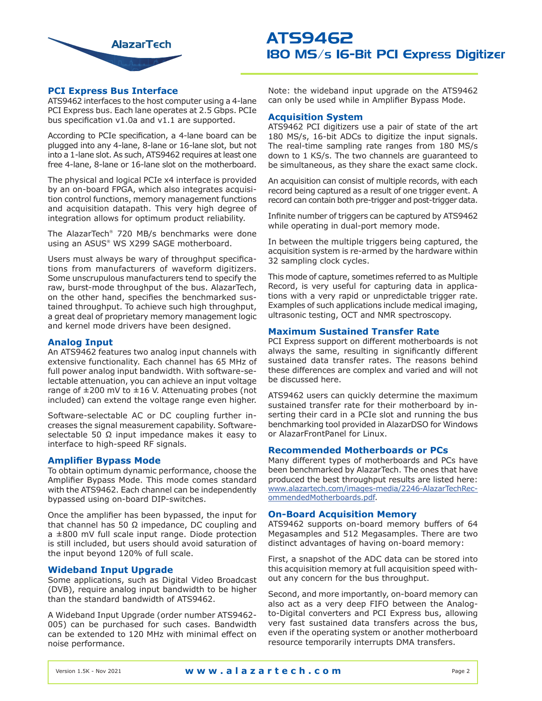

## **PCI Express Bus Interface**

ATS9462 interfaces to the host computer using a 4-lane PCI Express bus. Each lane operates at 2.5 Gbps. PCIe bus specification v1.0a and v1.1 are supported.

According to PCIe specification, a 4-lane board can be plugged into any 4-lane, 8-lane or 16-lane slot, but not into a 1-lane slot. As such, ATS9462 requires at least one free 4-lane, 8-lane or 16-lane slot on the motherboard.

The physical and logical PCIe x4 interface is provided by an on-board FPGA, which also integrates acquisition control functions, memory management functions and acquisition datapath. This very high degree of integration allows for optimum product reliability.

The AlazarTech® 720 MB/s benchmarks were done using an ASUS® WS X299 SAGE motherboard.

Users must always be wary of throughput specifications from manufacturers of waveform digitizers. Some unscrupulous manufacturers tend to specify the raw, burst-mode throughput of the bus. AlazarTech, on the other hand, specifies the benchmarked sustained throughput. To achieve such high throughput, a great deal of proprietary memory management logic and kernel mode drivers have been designed.

## **Analog Input**

An ATS9462 features two analog input channels with extensive functionality. Each channel has 65 MHz of full power analog input bandwidth. With software-selectable attenuation, you can achieve an input voltage range of  $\pm 200$  mV to  $\pm 16$  V. Attenuating probes (not included) can extend the voltage range even higher.

Software-selectable AC or DC coupling further increases the signal measurement capability. Softwareselectable 50  $\Omega$  input impedance makes it easy to interface to high-speed RF signals.

## **Amplifier Bypass Mode**

To obtain optimum dynamic performance, choose the Amplifier Bypass Mode. This mode comes standard with the ATS9462. Each channel can be independently bypassed using on-board DIP-switches.

Once the amplifier has been bypassed, the input for that channel has 50  $Ω$  impedance, DC coupling and a ±800 mV full scale input range. Diode protection is still included, but users should avoid saturation of the input beyond 120% of full scale.

## **Wideband Input Upgrade**

Some applications, such as Digital Video Broadcast (DVB), require analog input bandwidth to be higher than the standard bandwidth of ATS9462.

A Wideband Input Upgrade (order number ATS9462- 005) can be purchased for such cases. Bandwidth can be extended to 120 MHz with minimal effect on noise performance.

Note: the wideband input upgrade on the ATS9462 can only be used while in Amplifier Bypass Mode.

## **Acquisition System**

ATS9462 PCI digitizers use a pair of state of the art 180 MS/s, 16-bit ADCs to digitize the input signals. The real-time sampling rate ranges from 180 MS/s down to 1 KS/s. The two channels are guaranteed to be simultaneous, as they share the exact same clock.

An acquisition can consist of multiple records, with each record being captured as a result of one trigger event. A record can contain both pre-trigger and post-trigger data.

Infinite number of triggers can be captured by ATS9462 while operating in dual-port memory mode.

In between the multiple triggers being captured, the acquisition system is re-armed by the hardware within 32 sampling clock cycles.

This mode of capture, sometimes referred to as Multiple Record, is very useful for capturing data in applications with a very rapid or unpredictable trigger rate. Examples of such applications include medical imaging, ultrasonic testing, OCT and NMR spectroscopy.

## **Maximum Sustained Transfer Rate**

PCI Express support on different motherboards is not always the same, resulting in significantly different sustained data transfer rates. The reasons behind these differences are complex and varied and will not be discussed here.

ATS9462 users can quickly determine the maximum sustained transfer rate for their motherboard by inserting their card in a PCIe slot and running the bus benchmarking tool provided in AlazarDSO for Windows or AlazarFrontPanel for Linux.

## **Recommended Motherboards or PCs**

Many different types of motherboards and PCs have been benchmarked by AlazarTech. The ones that have produced the best throughput results are listed here: [www.alazartech.com/images-media/2246-AlazarTechRec](https://www.alazartech.com/images-media/2246-AlazarTechRecommendedMotherboards.pdf)[ommendedMotherboards.pdf.](https://www.alazartech.com/images-media/2246-AlazarTechRecommendedMotherboards.pdf)

### **On-Board Acquisition Memory**

ATS9462 supports on-board memory buffers of 64 Megasamples and 512 Megasamples. There are two distinct advantages of having on-board memory:

First, a snapshot of the ADC data can be stored into this acquisition memory at full acquisition speed without any concern for the bus throughput.

Second, and more importantly, on-board memory can also act as a very deep FIFO between the Analogto-Digital converters and PCI Express bus, allowing very fast sustained data transfers across the bus, even if the operating system or another motherboard resource temporarily interrupts DMA transfers.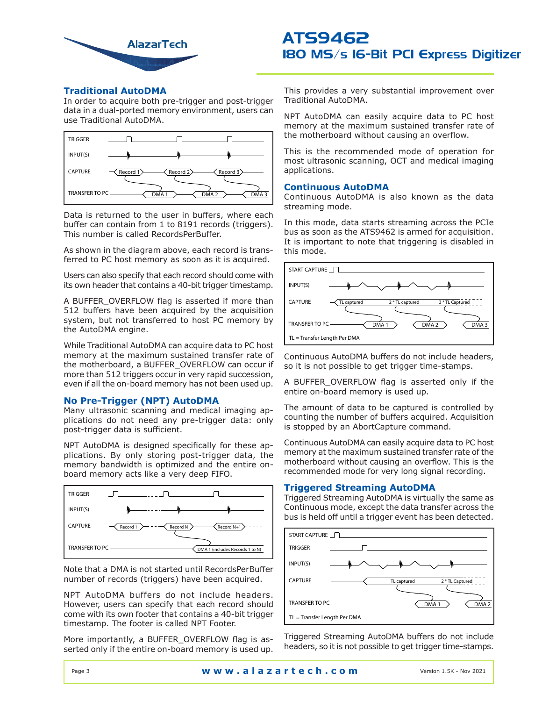

## **Traditional AutoDMA**

In order to acquire both pre-trigger and post-trigger data in a dual-ported memory environment, users can use Traditional AutoDMA.



Data is returned to the user in buffers, where each buffer can contain from 1 to 8191 records (triggers). This number is called RecordsPerBuffer.

As shown in the diagram above, each record is transferred to PC host memory as soon as it is acquired.

Users can also specify that each record should come with its own header that contains a 40-bit trigger timestamp.

A BUFFER\_OVERFLOW flag is asserted if more than 512 buffers have been acquired by the acquisition system, but not transferred to host PC memory by the AutoDMA engine.

While Traditional AutoDMA can acquire data to PC host memory at the maximum sustained transfer rate of the motherboard, a BUFFER\_OVERFLOW can occur if more than 512 triggers occur in very rapid succession, even if all the on-board memory has not been used up.

## **No Pre-Trigger (NPT) AutoDMA**

Many ultrasonic scanning and medical imaging applications do not need any pre-trigger data: only post-trigger data is sufficient.

NPT AutoDMA is designed specifically for these applications. By only storing post-trigger data, the memory bandwidth is optimized and the entire onboard memory acts like a very deep FIFO.



Note that a DMA is not started until RecordsPerBuffer number of records (triggers) have been acquired.

NPT AutoDMA buffers do not include headers. However, users can specify that each record should come with its own footer that contains a 40-bit trigger timestamp. The footer is called NPT Footer.

More importantly, a BUFFER OVERFLOW flag is asserted only if the entire on-board memory is used up. This provides a very substantial improvement over Traditional AutoDMA.

NPT AutoDMA can easily acquire data to PC host memory at the maximum sustained transfer rate of the motherboard without causing an overflow.

This is the recommended mode of operation for most ultrasonic scanning, OCT and medical imaging applications.

## **Continuous AutoDMA**

Continuous AutoDMA is also known as the data streaming mode.

In this mode, data starts streaming across the PCIe bus as soon as the ATS9462 is armed for acquisition. It is important to note that triggering is disabled in this mode.



Continuous AutoDMA buffers do not include headers, so it is not possible to get trigger time-stamps.

A BUFFER\_OVERFLOW flag is asserted only if the entire on-board memory is used up.

The amount of data to be captured is controlled by counting the number of buffers acquired. Acquisition is stopped by an AbortCapture command.

Continuous AutoDMA can easily acquire data to PC host memory at the maximum sustained transfer rate of the motherboard without causing an overflow. This is the recommended mode for very long signal recording.

## **Triggered Streaming AutoDMA**

Triggered Streaming AutoDMA is virtually the same as Continuous mode, except the data transfer across the bus is held off until a trigger event has been detected.



Triggered Streaming AutoDMA buffers do not include headers, so it is not possible to get trigger time-stamps.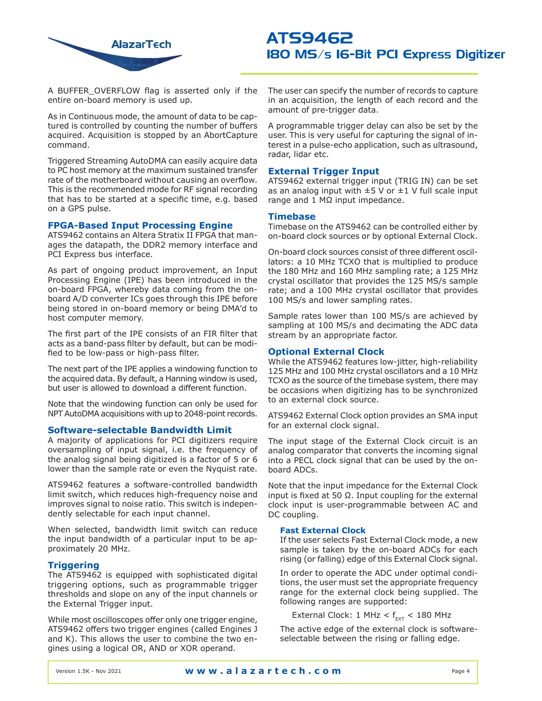

A BUFFER\_OVERFLOW flag is asserted only if the entire on-board memory is used up.

As in Continuous mode, the amount of data to be captured is controlled by counting the number of buffers acquired. Acquisition is stopped by an AbortCapture command.

Triggered Streaming AutoDMA can easily acquire data to PC host memory at the maximum sustained transfer rate of the motherboard without causing an overflow. This is the recommended mode for RF signal recording that has to be started at a specific time, e.g. based on a GPS pulse.

## **FPGA-Based Input Processing Engine**

ATS9462 contains an Altera Stratix II FPGA that manages the datapath, the DDR2 memory interface and PCI Express bus interface.

As part of ongoing product improvement, an Input Processing Engine (IPE) has been introduced in the on-board FPGA, whereby data coming from the onboard A/D converter ICs goes through this IPE before being stored in on-board memory or being DMA'd to host computer memory.

The first part of the IPE consists of an FIR filter that acts as a band-pass filter by default, but can be modified to be low-pass or high-pass filter.

The next part of the IPE applies a windowing function to the acquired data. By default, a Hanning window is used, but user is allowed to download a different function.

Note that the windowing function can only be used for NPT AutoDMA acquisitions with up to 2048-point records.

## **Software-selectable Bandwidth Limit**

A majority of applications for PCI digitizers require oversampling of input signal, i.e. the frequency of the analog signal being digitized is a factor of 5 or 6 lower than the sample rate or even the Nyquist rate.

ATS9462 features a software-controlled bandwidth limit switch, which reduces high-frequency noise and improves signal to noise ratio. This switch is independently selectable for each input channel.

When selected, bandwidth limit switch can reduce the input bandwidth of a particular input to be approximately 20 MHz.

## **Triggering**

The ATS9462 is equipped with sophisticated digital triggering options, such as programmable trigger thresholds and slope on any of the input channels or the External Trigger input.

While most oscilloscopes offer only one trigger engine, ATS9462 offers two trigger engines (called Engines J and K). This allows the user to combine the two engines using a logical OR, AND or XOR operand.

The user can specify the number of records to capture in an acquisition, the length of each record and the amount of pre-trigger data.

A programmable trigger delay can also be set by the user. This is very useful for capturing the signal of interest in a pulse-echo application, such as ultrasound, radar, lidar etc.

## **External Trigger Input**

ATS9462 external trigger input (TRIG IN) can be set as an analog input with  $\pm 5$  V or  $\pm 1$  V full scale input range and 1 MΩ input impedance.

### **Timebase**

Timebase on the ATS9462 can be controlled either by on-board clock sources or by optional External Clock.

On-board clock sources consist of three different oscillators: a 10 MHz TCXO that is multiplied to produce the 180 MHz and 160 MHz sampling rate; a 125 MHz crystal oscillator that provides the 125 MS/s sample rate; and a 100 MHz crystal oscillator that provides 100 MS/s and lower sampling rates.

Sample rates lower than 100 MS/s are achieved by sampling at 100 MS/s and decimating the ADC data stream by an appropriate factor.

### **Optional External Clock**

While the ATS9462 features low-jitter, high-reliability 125 MHz and 100 MHz crystal oscillators and a 10 MHz TCXO as the source of the timebase system, there may be occasions when digitizing has to be synchronized to an external clock source.

ATS9462 External Clock option provides an SMA input for an external clock signal.

The input stage of the External Clock circuit is an analog comparator that converts the incoming signal into a PECL clock signal that can be used by the onboard ADCs.

Note that the input impedance for the External Clock input is fixed at 50 Ω. Input coupling for the external clock input is user-programmable between AC and DC coupling.

## **Fast External Clock**

If the user selects Fast External Clock mode, a new sample is taken by the on-board ADCs for each rising (or falling) edge of this External Clock signal.

In order to operate the ADC under optimal conditions, the user must set the appropriate frequency range for the external clock being supplied. The following ranges are supported:

External Clock: 1 MHz <  $f_{\text{ext}}$  < 180 MHz

The active edge of the external clock is softwareselectable between the rising or falling edge.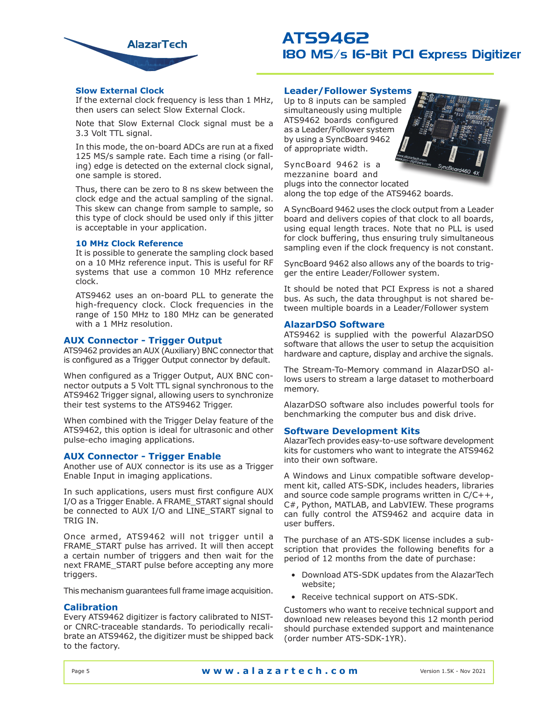

## **Slow External Clock**

If the external clock frequency is less than 1 MHz, then users can select Slow External Clock.

Note that Slow External Clock signal must be a 3.3 Volt TTL signal.

In this mode, the on-board ADCs are run at a fixed 125 MS/s sample rate. Each time a rising (or falling) edge is detected on the external clock signal, one sample is stored.

Thus, there can be zero to 8 ns skew between the clock edge and the actual sampling of the signal. This skew can change from sample to sample, so this type of clock should be used only if this jitter is acceptable in your application.

## **10 MHz Clock Reference**

It is possible to generate the sampling clock based on a 10 MHz reference input. This is useful for RF systems that use a common 10 MHz reference clock.

ATS9462 uses an on-board PLL to generate the high-frequency clock. Clock frequencies in the range of 150 MHz to 180 MHz can be generated with a 1 MHz resolution.

## **AUX Connector - Trigger Output**

ATS9462 provides an AUX (Auxiliary) BNC connector that is configured as a Trigger Output connector by default.

When configured as a Trigger Output, AUX BNC connector outputs a 5 Volt TTL signal synchronous to the ATS9462 Trigger signal, allowing users to synchronize their test systems to the ATS9462 Trigger.

When combined with the Trigger Delay feature of the ATS9462, this option is ideal for ultrasonic and other pulse-echo imaging applications.

## **AUX Connector - Trigger Enable**

Another use of AUX connector is its use as a Trigger Enable Input in imaging applications.

In such applications, users must first configure AUX I/O as a Trigger Enable. A FRAME\_START signal should be connected to AUX I/O and LINE\_START signal to TRIG IN.

Once armed, ATS9462 will not trigger until a FRAME\_START pulse has arrived. It will then accept a certain number of triggers and then wait for the next FRAME\_START pulse before accepting any more triggers.

This mechanism guarantees full frame image acquisition.

## **Calibration**

Every ATS9462 digitizer is factory calibrated to NISTor CNRC-traceable standards. To periodically recalibrate an ATS9462, the digitizer must be shipped back to the factory.

## **Leader/Follower Systems**

Up to 8 inputs can be sampled simultaneously using multiple ATS9462 boards configured as a Leader/Follower system by using a SyncBoard 9462 of appropriate width.

SyncBoard 9462 is a mezzanine board and plugs into the connector located along the top edge of the ATS9462 boards.

A SyncBoard 9462 uses the clock output from a Leader board and delivers copies of that clock to all boards, using equal length traces. Note that no PLL is used for clock buffering, thus ensuring truly simultaneous sampling even if the clock frequency is not constant.

SyncBoard 9462 also allows any of the boards to trigger the entire Leader/Follower system.

It should be noted that PCI Express is not a shared bus. As such, the data throughput is not shared between multiple boards in a Leader/Follower system

## **AlazarDSO Software**

ATS9462 is supplied with the powerful AlazarDSO software that allows the user to setup the acquisition hardware and capture, display and archive the signals.

The Stream-To-Memory command in AlazarDSO allows users to stream a large dataset to motherboard memory.

AlazarDSO software also includes powerful tools for benchmarking the computer bus and disk drive.

## **Software Development Kits**

AlazarTech provides easy-to-use software development kits for customers who want to integrate the ATS9462 into their own software.

A Windows and Linux compatible software development kit, called ATS-SDK, includes headers, libraries and source code sample programs written in C/C++, C#, Python, MATLAB, and LabVIEW. These programs can fully control the ATS9462 and acquire data in user buffers.

The purchase of an ATS-SDK license includes a subscription that provides the following benefits for a period of 12 months from the date of purchase:

- Download ATS-SDK updates from the AlazarTech website;
- Receive technical support on ATS-SDK.

Customers who want to receive technical support and download new releases beyond this 12 month period should purchase extended support and maintenance (order number ATS-SDK-1YR).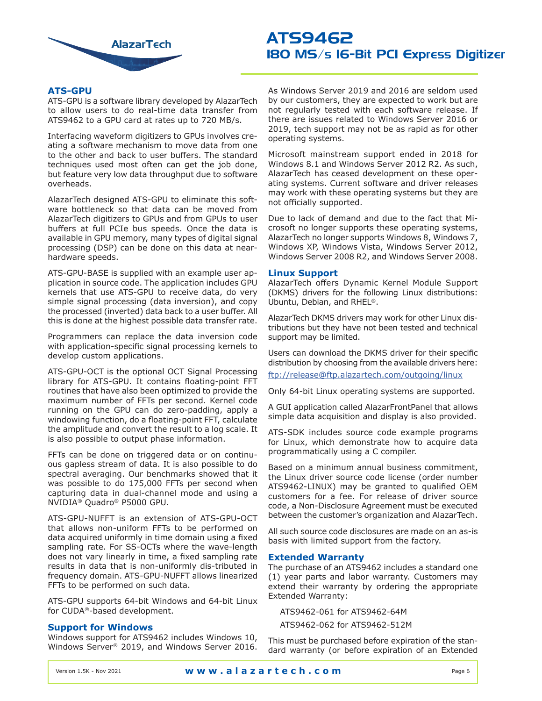

## **ATS-GPU**

ATS-GPU is a software library developed by AlazarTech to allow users to do real-time data transfer from ATS9462 to a GPU card at rates up to 720 MB/s.

Interfacing waveform digitizers to GPUs involves creating a software mechanism to move data from one to the other and back to user buffers. The standard techniques used most often can get the job done, but feature very low data throughput due to software overheads.

AlazarTech designed ATS-GPU to eliminate this software bottleneck so that data can be moved from AlazarTech digitizers to GPUs and from GPUs to user buffers at full PCIe bus speeds. Once the data is available in GPU memory, many types of digital signal processing (DSP) can be done on this data at nearhardware speeds.

ATS-GPU-BASE is supplied with an example user application in source code. The application includes GPU kernels that use ATS-GPU to receive data, do very simple signal processing (data inversion), and copy the processed (inverted) data back to a user buffer. All this is done at the highest possible data transfer rate.

Programmers can replace the data inversion code with application-specific signal processing kernels to develop custom applications.

ATS-GPU-OCT is the optional OCT Signal Processing library for ATS-GPU. It contains floating-point FFT routines that have also been optimized to provide the maximum number of FFTs per second. Kernel code running on the GPU can do zero-padding, apply a windowing function, do a floating-point FFT, calculate the amplitude and convert the result to a log scale. It is also possible to output phase information.

FFTs can be done on triggered data or on continuous gapless stream of data. It is also possible to do spectral averaging. Our benchmarks showed that it was possible to do 175,000 FFTs per second when capturing data in dual-channel mode and using a NVIDIA® Quadro® P5000 GPU.

ATS-GPU-NUFFT is an extension of ATS-GPU-OCT that allows non-uniform FFTs to be performed on data acquired uniformly in time domain using a fixed sampling rate. For SS-OCTs where the wave-length does not vary linearly in time, a fixed sampling rate results in data that is non-uniformly dis-tributed in frequency domain. ATS-GPU-NUFFT allows linearized FFTs to be performed on such data.

ATS-GPU supports 64-bit Windows and 64-bit Linux for CUDA®-based development.

## **Support for Windows**

Windows support for ATS9462 includes Windows 10, Windows Server® 2019, and Windows Server 2016. As Windows Server 2019 and 2016 are seldom used by our customers, they are expected to work but are not regularly tested with each software release. If there are issues related to Windows Server 2016 or 2019, tech support may not be as rapid as for other operating systems.

Microsoft mainstream support ended in 2018 for Windows 8.1 and Windows Server 2012 R2. As such, AlazarTech has ceased development on these operating systems. Current software and driver releases may work with these operating systems but they are not officially supported.

Due to lack of demand and due to the fact that Microsoft no longer supports these operating systems, AlazarTech no longer supports Windows 8, Windows 7, Windows XP, Windows Vista, Windows Server 2012, Windows Server 2008 R2, and Windows Server 2008.

## **Linux Support**

AlazarTech offers Dynamic Kernel Module Support (DKMS) drivers for the following Linux distributions: Ubuntu, Debian, and RHEL®.

AlazarTech DKMS drivers may work for other Linux distributions but they have not been tested and technical support may be limited.

Users can download the DKMS driver for their specific distribution by choosing from the available drivers here:

[ftp://release@ftp.alazartech.com/outgoing/linux](ftp://release@ftp.alazartech.com/outgoing/linux )

Only 64-bit Linux operating systems are supported.

A GUI application called AlazarFrontPanel that allows simple data acquisition and display is also provided.

ATS-SDK includes source code example programs for Linux, which demonstrate how to acquire data programmatically using a C compiler.

Based on a minimum annual business commitment, the Linux driver source code license (order number ATS9462-LINUX) may be granted to qualified OEM customers for a fee. For release of driver source code, a Non-Disclosure Agreement must be executed between the customer's organization and AlazarTech.

All such source code disclosures are made on an as-is basis with limited support from the factory.

## **Extended Warranty**

The purchase of an ATS9462 includes a standard one (1) year parts and labor warranty. Customers may extend their warranty by ordering the appropriate Extended Warranty:

ATS9462-061 for ATS9462-64M

ATS9462-062 for ATS9462-512M

This must be purchased before expiration of the standard warranty (or before expiration of an Extended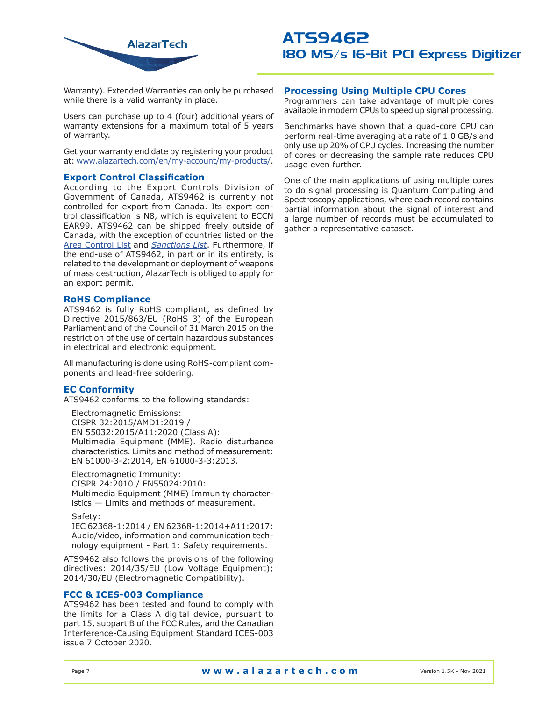

Warranty). Extended Warranties can only be purchased while there is a valid warranty in place.

Users can purchase up to 4 (four) additional years of warranty extensions for a maximum total of 5 years of warranty.

Get your warranty end date by registering your product at: [www.alazartech.com/en/my-account/my-products/.](https://www.alazartech.com/en/my-account/my-products/)

## **Export Control Classification**

According to the Export Controls Division of Government of Canada, ATS9462 is currently not controlled for export from Canada. Its export control classification is N8, which is equivalent to ECCN EAR99. ATS9462 can be shipped freely outside of Canada, with the exception of countries listed on the [Area Control List](http://laws-lois.justice.gc.ca/eng/regulations/SOR-81-543/page-2.html) and *[Sanctions](https://www.international.gc.ca/world-monde/international_relations-relations_internationales/sanctions/current-actuelles.aspx?lang=eng) List*. Furthermore, if the end-use of ATS9462, in part or in its entirety, is related to the development or deployment of weapons of mass destruction, AlazarTech is obliged to apply for an export permit.

## **RoHS Compliance**

ATS9462 is fully RoHS compliant, as defined by Directive 2015/863/EU (RoHS 3) of the European Parliament and of the Council of 31 March 2015 on the restriction of the use of certain hazardous substances in electrical and electronic equipment.

All manufacturing is done using RoHS-compliant components and lead-free soldering.

## **EC Conformity**

ATS9462 conforms to the following standards:

Electromagnetic Emissions: CISPR 32:2015/AMD1:2019 / EN 55032:2015/A11:2020 (Class A): Multimedia Equipment (MME). Radio disturbance characteristics. Limits and method of measurement: EN 61000-3-2:2014, EN 61000-3-3:2013.

Electromagnetic Immunity: CISPR 24:2010 / EN55024:2010: Multimedia Equipment (MME) Immunity characteristics — Limits and methods of measurement.

### Safety:

IEC 62368-1:2014 / EN 62368-1:2014+A11:2017: Audio/video, information and communication technology equipment - Part 1: Safety requirements.

ATS9462 also follows the provisions of the following directives: 2014/35/EU (Low Voltage Equipment); 2014/30/EU (Electromagnetic Compatibility).

## **FCC & ICES-003 Compliance**

ATS9462 has been tested and found to comply with the limits for a Class A digital device, pursuant to part 15, subpart B of the FCC Rules, and the Canadian Interference-Causing Equipment Standard ICES-003 issue 7 October 2020.

## **Processing Using Multiple CPU Cores**

Programmers can take advantage of multiple cores available in modern CPUs to speed up signal processing.

Benchmarks have shown that a quad-core CPU can perform real-time averaging at a rate of 1.0 GB/s and only use up 20% of CPU cycles. Increasing the number of cores or decreasing the sample rate reduces CPU usage even further.

One of the main applications of using multiple cores to do signal processing is Quantum Computing and Spectroscopy applications, where each record contains partial information about the signal of interest and a large number of records must be accumulated to gather a representative dataset.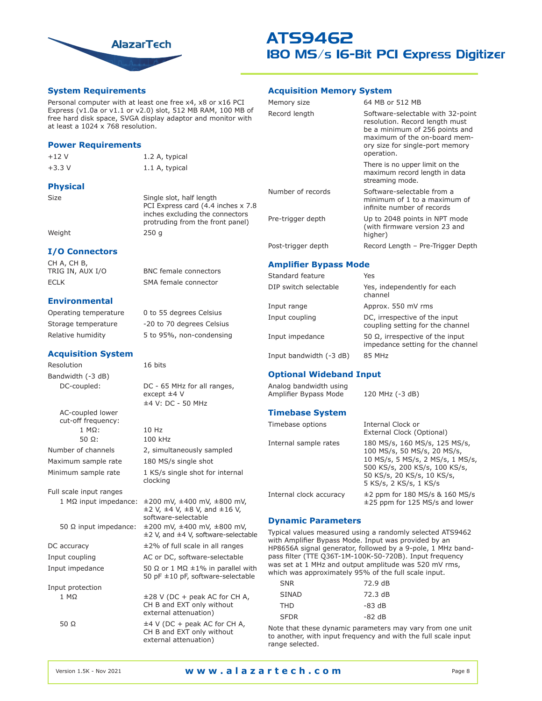

## **System Requirements**

### Personal computer with at least one free x4, x8 or x16 PCI Express (v1.0a or v1.1 or v2.0) slot, 512 MB RAM, 100 MB of free hard disk space, SVGA display adaptor and monitor with at least a 1024 x 768 resolution.

### **Power Requirements**

+12 V 1.2 A, typical

+3.3 V 1.1 A, typical

**Physical**

Size Single slot, half length PCI Express card (4.4 inches x 7.8 inches excluding the connectors protruding from the front panel)

Weight 250 g

## **I/O Connectors**

CH A, CH B,<br>TRIG IN, AUX I/O ECLK SMA female connector

## **Environmental**

Operating temperature 0 to 55 degrees Celsius Storage temperature -20 to 70 degrees Celsius Relative humidity 5 to 95%, non-condensing

## **Acquisition System**

Resolution 16 bits Bandwidth (-3 dB)

AC-coupled lower cut-off frequency: 1 MΩ: 10 Hz 50 Ω: 100 kHz

Full scale input ranges 1 MΩ input impedance: ±200 mV, ±400 mV, ±800 mV,

Input protection

BNC female connectors

DC-coupled: DC - 65 MHz for all ranges, except ±4 V ±4 V: DC - 50 MHz

Number of channels 2, simultaneously sampled Maximum sample rate 180 MS/s single shot Minimum sample rate 1 KS/s single shot for internal clocking

 $\pm$ 2 V,  $\pm$ 4 V,  $\pm$ 8 V, and  $\pm$ 16 V, software-selectable 50 Ω input impedance: ±200 mV, ±400 mV, ±800 mV, ±2 V, and ±4 V, software-selectable DC accuracy  $\pm 2\%$  of full scale in all ranges Input coupling The AC or DC, software-selectable Input impedance 50 Ω or 1 MΩ  $\pm$ 1% in parallel with 50 pF ±10 pF, software-selectable

1 MΩ ±28 V (DC + peak AC for CH A, CH B and EXT only without external attenuation)  $±4$  V (DC + peak AC for CH A,

CH B and EXT only without external attenuation)

## **Acquisition Memory System**

| Memory size        | 64 MB or 512 MB                                                                                                                                                                        |
|--------------------|----------------------------------------------------------------------------------------------------------------------------------------------------------------------------------------|
| Record length      | Software-selectable with 32-point<br>resolution. Record length must<br>be a minimum of 256 points and<br>maximum of the on-board mem-<br>ory size for single-port memory<br>operation. |
|                    | There is no upper limit on the<br>maximum record length in data<br>streaming mode.                                                                                                     |
| Number of records  | Software-selectable from a<br>minimum of 1 to a maximum of<br>infinite number of records                                                                                               |
| Pre-trigger depth  | Up to 2048 points in NPT mode<br>(with firmware version 23 and<br>higher)                                                                                                              |
| Post-trigger depth | Record Length - Pre-Trigger Depth                                                                                                                                                      |

## **Amplifier Bypass Mode**

| Standard feature        | Yes                                                                     |
|-------------------------|-------------------------------------------------------------------------|
| DIP switch selectable   | Yes, independently for each<br>channel                                  |
| Input range             | Approx. 550 mV rms                                                      |
| Input coupling          | DC, irrespective of the input<br>coupling setting for the channel       |
| Input impedance         | 50 $Ω$ , irrespective of the input<br>impedance setting for the channel |
| Input bandwidth (-3 dB) | 85 MHz                                                                  |

## **Optional Wideband Input**

| Analog bandwidth using<br>Amplifier Bypass Mode | 120 MHz (-3 dB)                                                                                                                                                                           |
|-------------------------------------------------|-------------------------------------------------------------------------------------------------------------------------------------------------------------------------------------------|
| <b>Timebase System</b>                          |                                                                                                                                                                                           |
| Timebase options                                | Internal Clock or<br>External Clock (Optional)                                                                                                                                            |
| Internal sample rates                           | 180 MS/s, 160 MS/s, 125 MS/s,<br>100 MS/s, 50 MS/s, 20 MS/s,<br>10 MS/s, 5 MS/s, 2 MS/s, 1 MS/s,<br>500 KS/s, 200 KS/s, 100 KS/s,<br>50 KS/s, 20 KS/s, 10 KS/s,<br>5 KS/s, 2 KS/s, 1 KS/s |
| Internal clock accuracy                         | $\pm$ 2 ppm for 180 MS/s & 160 MS/s<br>$\pm$ 25 ppm for 125 MS/s and lower                                                                                                                |

## **Dynamic Parameters**

Typical values measured using a randomly selected ATS9462 with Amplifier Bypass Mode. Input was provided by an HP8656A signal generator, followed by a 9-pole, 1 MHz bandpass filter (TTE Q36T-1M-100K-50-720B). Input frequency was set at 1 MHz and output amplitude was 520 mV rms, which was approximately 95% of the full scale input.

| SNR         | 72.9 dB  |
|-------------|----------|
| SINAD       | 72.3 dB  |
| <b>THD</b>  | $-83$ dB |
| <b>SFDR</b> | $-82$ dB |

Note that these dynamic parameters may vary from one unit to another, with input frequency and with the full scale input range selected.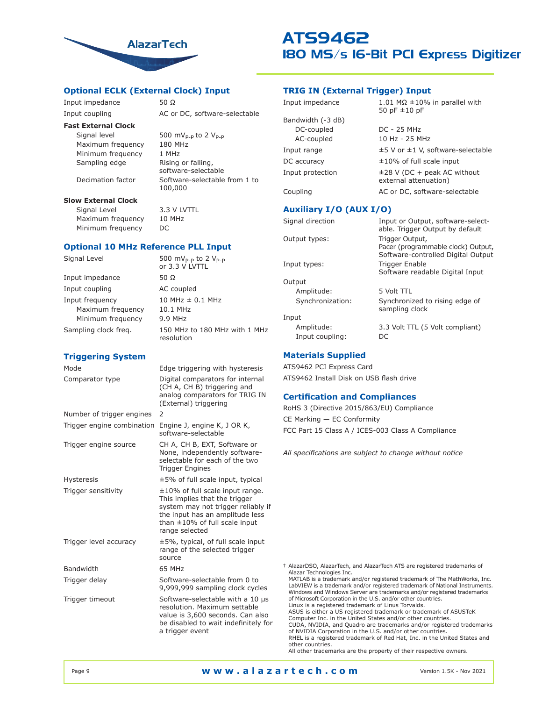

## **Optional ECLK (External Clock) Input**

Input impedance 50 Ω

Input coupling The AC or DC, software-selectable

## **Fast External Clock**

Signal level  $500 \text{ mV}_{P-P}$  to 2  $V_{P-P}$ <br>Maximum frequency  $180 \text{ MHz}$ Maximum frequency Minimum frequency 1 MHz Sampling edge Rising or falling,

software-selectable Decimation factor Software-selectable from 1 to

### **Slow External Clock**

Signal Level 3.3 V LVTTL Maximum frequency 10 MHz Minimum frequency DC

100,000

### **Optional 10 MHz Reference PLL Input**

| Signal Level         | 500 mV <sub>p-p</sub> to 2 $V_{p-p}$<br>or 3.3 V LVTTL |
|----------------------|--------------------------------------------------------|
| Input impedance      | 50 Ω                                                   |
| Input coupling       | AC coupled                                             |
| Input frequency      | 10 MHz $\pm$ 0.1 MHz                                   |
| Maximum frequency    | 10.1 MHz                                               |
| Minimum frequency    | 9.9 MHz                                                |
| Sampling clock freg. | 150 MHz to 180 MHz with 1 MHz<br>resolution            |

## **Triggering System**

| Mode                       | Edge triggering with hysteresis                                                                                                                                                                          |
|----------------------------|----------------------------------------------------------------------------------------------------------------------------------------------------------------------------------------------------------|
| Comparator type            | Digital comparators for internal<br>(CH A, CH B) triggering and<br>analog comparators for TRIG IN<br>(External) triggering                                                                               |
| Number of trigger engines  | 2                                                                                                                                                                                                        |
| Trigger engine combination | Engine J, engine K, J OR K,<br>software-selectable                                                                                                                                                       |
| Trigger engine source      | CH A, CH B, EXT, Software or<br>None, independently software-<br>selectable for each of the two<br><b>Trigger Engines</b>                                                                                |
| <b>Hysteresis</b>          | $\pm$ 5% of full scale input, typical                                                                                                                                                                    |
| Trigger sensitivity        | $\pm 10\%$ of full scale input range.<br>This implies that the trigger<br>system may not trigger reliably if<br>the input has an amplitude less<br>than $\pm 10\%$ of full scale input<br>range selected |
| Trigger level accuracy     | $\pm$ 5%, typical, of full scale input<br>range of the selected trigger<br>source                                                                                                                        |
| Bandwidth                  | 65 MHz                                                                                                                                                                                                   |
| Trigger delay              | Software-selectable from 0 to<br>9,999,999 sampling clock cycles                                                                                                                                         |
| Trigger timeout            | Software-selectable with a 10 us<br>resolution. Maximum settable<br>value is 3,600 seconds. Can also<br>be disabled to wait indefinitely for<br>a trigger event                                          |

## **TRIG IN (External Trigger) Input**

| Input impedance   | 1.01 M $\Omega$ ±10% in parallel with<br>50 pF $\pm$ 10 pF |
|-------------------|------------------------------------------------------------|
| Bandwidth (-3 dB) |                                                            |
| DC-coupled        | DC - 25 MHz                                                |
| AC-coupled        | 10 Hz - 25 MHz                                             |
| Input range       | $\pm$ 5 V or $\pm$ 1 V, software-selectable                |
| DC accuracy       | $\pm 10\%$ of full scale input                             |
| Input protection  | $\pm$ 28 V (DC + peak AC without<br>external attenuation)  |
| Coupling          | AC or DC, software-selectable                              |

## **Auxiliary I/O (AUX I/O)**

| Signal direction | Input or Output, software-select-<br>able. Trigger Output by default     |
|------------------|--------------------------------------------------------------------------|
| Output types:    | Trigger Output,                                                          |
|                  | Pacer (programmable clock) Output,<br>Software-controlled Digital Output |
| Input types:     | Trigger Enable                                                           |
|                  | Software readable Digital Input                                          |
| Output           |                                                                          |
| Amplitude:       | 5 Volt TTL                                                               |
| Synchronization: | Synchronized to rising edge of<br>sampling clock                         |
| Input            |                                                                          |
| Amplitude:       | 3.3 Volt TTL (5 Volt compliant)                                          |
| Input coupling:  | DC                                                                       |

## **Materials Supplied**

ATS9462 PCI Express Card ATS9462 Install Disk on USB flash drive

## **Certification and Compliances**

RoHS 3 (Directive 2015/863/EU) Compliance CE Marking — EC Conformity FCC Part 15 Class A / ICES-003 Class A Compliance

*All specifications are subject to change without notice*

† AlazarDSO, AlazarTech, and AlazarTech ATS are registered trademarks of Alazar Technologies Inc. MATLAB is a trademark and/or registered trademark of The MathWorks, Inc. LabVIEW is a trademark and/or registered trademark of National Instruments. Windows and Windows Server are trademarks and/or registered trademarks of Microsoft Corporation in the U.S. and/or other countries. Linux is a registered trademark of Linus Torvalds. ASUS is either a US registered trademark or trademark of ASUSTeK Computer Inc. in the United States and/or other countries. CUDA, NVIDIA, and Quadro are trademarks and/or registered trademarks of NVIDIA Corporation in the U.S. and/or other countries. RHEL is a registered trademark of Red Hat, Inc. in the United States and other countries.

All other trademarks are the property of their respective owners.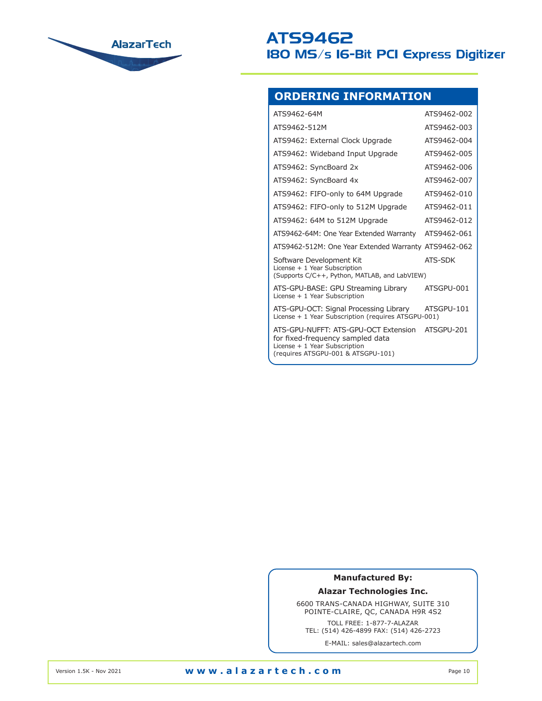

## **ORDERING INFORMATION**

| ATS9462-64M                                                                                                                                     | ATS9462-002 |
|-------------------------------------------------------------------------------------------------------------------------------------------------|-------------|
| ATS9462-512M                                                                                                                                    | ATS9462-003 |
| ATS9462: External Clock Upgrade                                                                                                                 | ATS9462-004 |
| ATS9462: Wideband Input Upgrade                                                                                                                 | ATS9462-005 |
| ATS9462: SyncBoard 2x                                                                                                                           | ATS9462-006 |
| ATS9462: SyncBoard 4x                                                                                                                           | ATS9462-007 |
| ATS9462: FIFO-only to 64M Upgrade                                                                                                               | ATS9462-010 |
| ATS9462: FIFO-only to 512M Upgrade                                                                                                              | ATS9462-011 |
| ATS9462: 64M to 512M Upgrade                                                                                                                    | ATS9462-012 |
| ATS9462-64M: One Year Extended Warranty                                                                                                         | ATS9462-061 |
| ATS9462-512M: One Year Extended Warranty                                                                                                        | ATS9462-062 |
| Software Development Kit<br>License + 1 Year Subscription<br>(Supports C/C++, Python, MATLAB, and LabVIEW)                                      | ATS-SDK     |
| ATS-GPU-BASE: GPU Streaming Library<br>License + 1 Year Subscription                                                                            | ATSGPU-001  |
| ATS-GPU-OCT: Signal Processing Library<br>License + 1 Year Subscription (requires ATSGPU-001)                                                   | ATSGPU-101  |
| ATS-GPU-NUFFT: ATS-GPU-OCT Extension<br>for fixed-frequency sampled data<br>License + 1 Year Subscription<br>(requires ATSGPU-001 & ATSGPU-101) | ATSGPU-201  |

## **Manufactured By:**

**Alazar Technologies Inc.**

6600 TRANS-CANADA HIGHWAY, SUITE 310 POINTE-CLAIRE, QC, CANADA H9R 4S2

TOLL FREE: 1-877-7-ALAZAR TEL: (514) 426-4899 FAX: (514) 426-2723

E-MAIL: sales@alazartech.com

Version 1.5K - Nov 2021 **www.alazartech.com** Page 10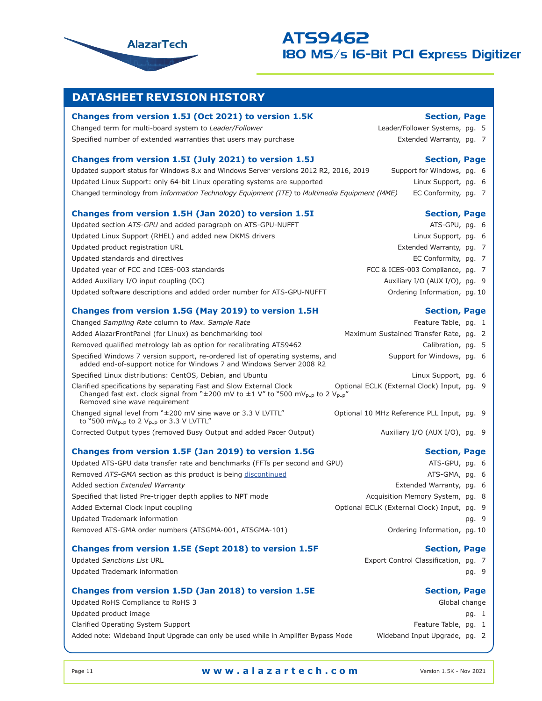

## **DATASHEET REVISION HISTORY**

## **Changes from version 1.5J (Oct 2021) to version 1.5K Section, Page**

Changed term for multi-board system to *Leader/Follower* Leader/Follower Systems, pg. 5 Specified number of extended warranties that users may purchase extended Warranty, pg. 7

## **Changes from version 1.5I (July 2021) to version 1.5J Section, Page**

Updated support status for Windows 8.x and Windows Server versions 2012 R2, 2016, 2019 Support for Windows, pg. 6 Updated Linux Support: only 64-bit Linux operating systems are supported Linux Linux Support, pg. 6 Changed terminology from *Information Technology Equipment (ITE)* to *Multimedia Equipment (MME)* EC Conformity, pg. 7

## **Changes from version 1.5H (Jan 2020) to version 1.5I Section, Page Section, Page**

Updated section *ATS-GPU* and added paragraph on ATS-GPU-NUFFT ATS-GPU, pg. 6 Updated Linux Support (RHEL) and added new DKMS drivers Later Linux Support, pg. 6 Updated product registration URL Extended Warranty, pg. 7 Updated standards and directives EC Conformity, pg. 7 Updated year of FCC and ICES-003 standards FCC & ICES-003 Compliance, pg. 7 Added Auxiliary I/O input coupling (DC) and the state of the state of the Auxiliary I/O (AUX I/O), pg. 9 Updated software descriptions and added order number for ATS-GPU-NUFFT Ordering Information, pg. 10

## **Changes from version 1.5G (May 2019) to version 1.5H Section, Page**

| Changed Sampling Rate column to Max. Sample Rate                                                                                                                                                                           | Feature Table, pg. 1                        |  |
|----------------------------------------------------------------------------------------------------------------------------------------------------------------------------------------------------------------------------|---------------------------------------------|--|
| Added AlazarFrontPanel (for Linux) as benchmarking tool                                                                                                                                                                    | Maximum Sustained Transfer Rate, pg. 2      |  |
| Removed qualified metrology lab as option for recalibrating ATS9462                                                                                                                                                        | Calibration, pg. 5                          |  |
| Specified Windows 7 version support, re-ordered list of operating systems, and<br>added end-of-support notice for Windows 7 and Windows Server 2008 R2                                                                     | Support for Windows, pg. 6                  |  |
| Specified Linux distributions: CentOS, Debian, and Ubuntu                                                                                                                                                                  | Linux Support, pg. 6                        |  |
| Clarified specifications by separating Fast and Slow External Clock<br>Changed fast ext. clock signal from " $\pm$ 200 mV to $\pm$ 1 V" to "500 mV <sub>p-p</sub> to 2 V <sub>p-p</sub> "<br>Removed sine wave requirement | Optional ECLK (External Clock) Input, pq. 9 |  |
| Changed signal level from "±200 mV sine wave or 3.3 V LVTTL"<br>to "500 mV <sub>P-P</sub> to 2 V <sub>P-P</sub> or 3.3 V LVTTL"                                                                                            | Optional 10 MHz Reference PLL Input, pq. 9  |  |
| Corrected Output types (removed Busy Output and added Pacer Output)                                                                                                                                                        | Auxiliary I/O (AUX I/O), pg. 9              |  |
| Changes from version 1.5F (Jan 2019) to version 1.5G                                                                                                                                                                       | <b>Section, Page</b>                        |  |
|                                                                                                                                                                                                                            |                                             |  |

Updated ATS-GPU data transfer rate and benchmarks (FFTs per second and GPU) ATS-GPU, pg. 6 Removed *ATS-GMA* section as this product is being [discontinued](https://www.alazartech.com/Support/Download%20Files/EOL-GMABASE-1903.pdf) **ATS-GMA**, pg. 6 Added section *Extended Warranty* **Extended Warranty Extended Warranty, pg. 6** Specified that listed Pre-trigger depth applies to NPT mode Acquisition Memory System, pg. 8 Added External Clock input coupling and the optional ECLK (External Clock) Input, pg. 9 Updated Trademark information pg. 9 Removed ATS-GMA order numbers (ATSGMA-001, ATSGMA-101) **Contained ATS-GMA-101** Ordering Information, pg. 10

## **Changes from version 1.5E (Sept 2018) to version 1.5F Section, Page**

Updated Trademark information pg. 9

## **Changes from version 1.5D (Jan 2018) to version 1.5E** Section, Page

Updated RoHS Compliance to RoHS 3 Global change and the Updated RoHS 3 Global change Updated product image pg. 1 Clarified Operating System Support **Feature Table, pg. 1** Clarified Operating System Support Added note: Wideband Input Upgrade can only be used while in Amplifier Bypass Mode Wideband Input Upgrade, pg. 2

- 
- 
- 

- 
- 
- 
- 
- 
- 
- 

- 
- 
- 
- 
- 
- -
	-

- Updated *Sanctions List* URL **Export Control Classification, pg. 7** 
	-

- 
- 
- 

Page 11 **www.alazartech.com** Version 1.5K - Nov 2021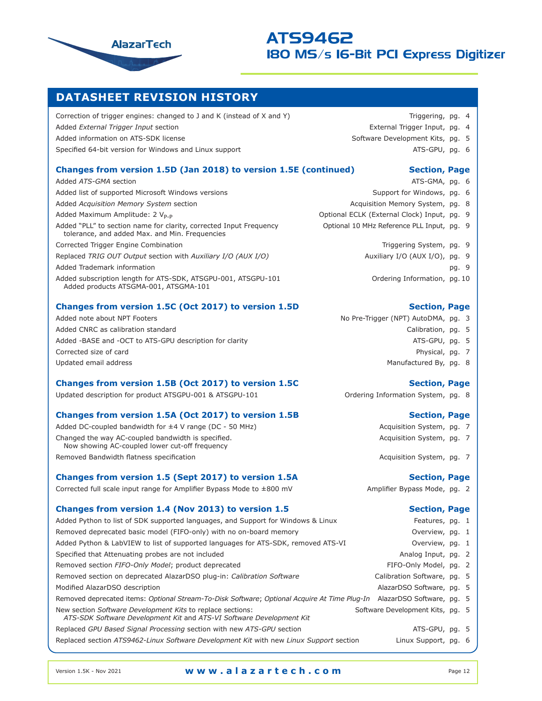

## **DATASHEET REVISION HISTORY**

Correction of trigger engines: changed to J and K (instead of X and Y) Triggering, pg. 4 Added *External Trigger Input* section External Trigger Input, pg. 4 Added information on ATS-SDK license Software Development Kits, pg. 5 Specified 64-bit version for Windows and Linux support **ATS-GPU, pg. 6** ATS-GPU, pg. 6

| Changes from version 1.5D (Jan 2018) to version 1.5E (continued)                                                     | <b>Section, Page</b>                        |       |  |
|----------------------------------------------------------------------------------------------------------------------|---------------------------------------------|-------|--|
| Added ATS-GMA section                                                                                                | ATS-GMA, pg. 6                              |       |  |
| Added list of supported Microsoft Windows versions                                                                   | Support for Windows, pq. 6                  |       |  |
| Added Acquisition Memory System section                                                                              | Acquisition Memory System, pg. 8            |       |  |
| Added Maximum Amplitude: 2 V <sub>P-P</sub>                                                                          | Optional ECLK (External Clock) Input, pg. 9 |       |  |
| Added "PLL" to section name for clarity, corrected Input Frequency<br>tolerance, and added Max. and Min. Frequencies | Optional 10 MHz Reference PLL Input, pg. 9  |       |  |
| Corrected Trigger Engine Combination                                                                                 | Triggering System, pg. 9                    |       |  |
| Replaced TRIG OUT Output section with Auxiliary I/O (AUX I/O)                                                        | Auxiliary I/O (AUX I/O), pg. 9              |       |  |
| Added Trademark information                                                                                          |                                             | pg. 9 |  |
| Added subscription length for ATS-SDK, ATSGPU-001, ATSGPU-101<br>Added products ATSGMA-001, ATSGMA-101               | Ordering Information, pg. 10                |       |  |

## **Changes from version 1.5C (Oct 2017) to version 1.5D Section, Page**

Added note about NPT Footers Note also note about NPT Footers No Pre-Trigger (NPT) AutoDMA, pg. 3 Added CNRC as calibration standard CALIC CALIGATION CALIGATION CALIBRATION CALIBRATION, pg. 5 Added -BASE and -OCT to ATS-GPU description for clarity ATS-GPU, pg. 5 Corrected size of card **Physical, pg. 7** Corrected size of card Physical, pg. 7 Updated email address and the state of the state of the state of the Manufactured By, pg. 8

## **Changes from version 1.5B (Oct 2017) to version 1.5C <b>Section, Page**

Updated description for product ATSGPU-001 & ATSGPU-101 **Canada Contained ATSGPU-101** Ordering Information System, pg. 8

## **Changes from version 1.5A (Oct 2017) to version 1.5B Section, Page**

Added DC-coupled bandwidth for ±4 V range (DC - 50 MHz) Acquisition System, pg. 7 Changed the way AC-coupled bandwidth is specified. The match of the coupled bandwidth is specified. Now showing AC-coupled lower cut-off frequency

Removed Bandwidth flatness specification Acquisition System, pg. 7

## **Changes from version 1.5 (Sept 2017) to version 1.5A** Section, Page

Corrected full scale input range for Amplifier Bypass Mode to ±800 mV Amplifier Bypass Mode, pg. 2

## **Changes from version 1.4 (Nov 2013) to version 1.5 Section, Page Section, Page**

Added Python to list of SDK supported languages, and Support for Windows & Linux Features, pg. 1 Removed deprecated basic model (FIFO-only) with no on-board memory Added Python & LabVIEW to list of supported languages for ATS-SDK, removed ATS-VI Specified that Attenuating probes are not included Removed section FIFO-Only Model; product deprecated Removed section on deprecated AlazarDSO plug-in: *Calibration Software* Modified AlazarDSO description Removed deprecated items: *Optional Stream-To-Disk Software*; *Optional Acquire At Time F* New section Software Development Kits to replace sections: Software Development Kits, pg. *ATS-SDK Software Development Kit* and *ATS-VI Software Development Kit* Replaced *GPU Based Signal Processing section with new ATS-GPU section* ATS-GPU, pg. 5 Replaced section *ATS9462-Linux Software Development Kit* with new *Linux Support* section Linux Support, pg. 6

- - -

- ATS-GMA, pg. 6
- Support for Windows, pg. 6
- Acquisition Memory System, pg. 8
- Optional ECLK (External Clock) Input, pg. 9
- Optional 10 MHz Reference PLL Input, pg. 9
	- Triggering System, pg. 9
	- Auxiliary I/O (AUX I/O), pg. 9
		-
		- Ordering Information, pg. 10

- -
	-
	-
	-

- 
- 
- 

|                              | rcatarco, py. I                 |  |     |
|------------------------------|---------------------------------|--|-----|
|                              | Overview, pg. 1                 |  |     |
|                              | Overview, pg. 1                 |  |     |
|                              | Analog Input, pg. 2             |  |     |
|                              | FIFO-Only Model, pg. 2          |  |     |
|                              | Calibration Software, pg. 5     |  |     |
|                              | AlazarDSO Software, pg.         |  | - 5 |
|                              | Plug-In AlazarDSO Software, pg. |  | 5   |
| Software Develonment Kits no |                                 |  |     |